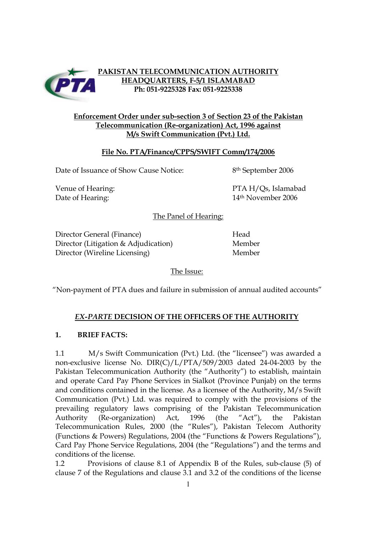

# **PAKISTAN TELECOMMUNICATION AUTHORITY HEADQUARTERS, F-5/1 ISLAMABAD Ph: 051-9225328 Fax: 051-9225338**

# **Enforcement Order under sub-section 3 of Section 23 of the Pakistan Telecommunication (Re-organization) Act, 1996 against M/s Swift Communication (Pvt.) Ltd.**

# **File No. PTA/Finance/CPPS/SWIFT Comm/174/2006**

Date of Issuance of Show Cause Notice: 8<sup>th</sup> September 2006

Venue of Hearing:  $PTA H/Qs$ , Islamabad Date of Hearing: 14<sup>th</sup> November 2006

The Panel of Hearing:

Director General (Finance) Head Director (Litigation & Adjudication) Member Director (Wireline Licensing) Member

The Issue:

"Non-payment of PTA dues and failure in submission of annual audited accounts"

# *EX-PARTE* **DECISION OF THE OFFICERS OF THE AUTHORITY**

## **1. BRIEF FACTS:**

1.1 M/s Swift Communication (Pvt.) Ltd. (the "licensee") was awarded a non-exclusive license No. DIR(C)/L/PTA/509/2003 dated 24-04-2003 by the Pakistan Telecommunication Authority (the "Authority") to establish, maintain and operate Card Pay Phone Services in Sialkot (Province Punjab) on the terms and conditions contained in the license. As a licensee of the Authority, M/s Swift Communication (Pvt.) Ltd. was required to comply with the provisions of the prevailing regulatory laws comprising of the Pakistan Telecommunication Authority (Re-organization) Act, 1996 (the "Act"), the Pakistan Telecommunication Rules, 2000 (the "Rules"), Pakistan Telecom Authority (Functions & Powers) Regulations, 2004 (the "Functions & Powers Regulations"), Card Pay Phone Service Regulations, 2004 (the "Regulations") and the terms and conditions of the license.

1.2 Provisions of clause 8.1 of Appendix B of the Rules, sub-clause (5) of clause 7 of the Regulations and clause 3.1 and 3.2 of the conditions of the license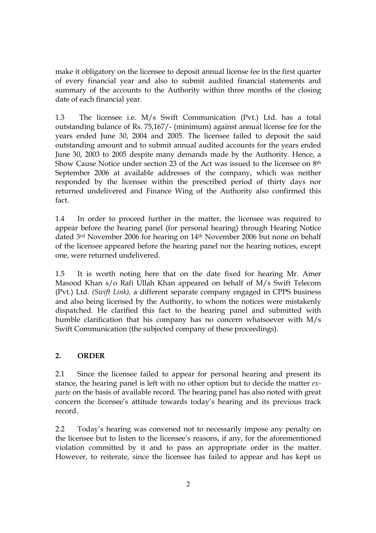make it obligatory on the licensee to deposit annual license fee in the first quarter of every financial year and also to submit audited financial statements and summary of the accounts to the Authority within three months of the closing date of each financial year.

1.3 The licensee i.e. M/s Swift Communication (Pvt.) Ltd. has a total outstanding balance of Rs. 75,167/- (minimum) against annual license fee for the years ended June 30, 2004 and 2005. The licensee failed to deposit the said outstanding amount and to submit annual audited accounts for the years ended June 30, 2003 to 2005 despite many demands made by the Authority. Hence, a Show Cause Notice under section 23 of the Act was issued to the licensee on 8th September 2006 at available addresses of the company, which was neither responded by the licensee within the prescribed period of thirty days nor returned undelivered and Finance Wing of the Authority also confirmed this fact.

1.4 In order to proceed further in the matter, the licensee was required to appear before the hearing panel (for personal hearing) through Hearing Notice dated 3rd November 2006 for hearing on 14th November 2006 but none on behalf of the licensee appeared before the hearing panel nor the hearing notices, except one, were returned undelivered.

1.5 It is worth noting here that on the date fixed for hearing Mr. Amer Masood Khan s/o Rafi Ullah Khan appeared on behalf of M/s Swift Telecom (Pvt.) Ltd. *(Swift Link),* a different separate company engaged in CPPS business and also being licensed by the Authority, to whom the notices were mistakenly dispatched. He clarified this fact to the hearing panel and submitted with humble clarification that his company has no concern whatsoever with M/s Swift Communication (the subjected company of these proceedings).

## **2. ORDER**

2.1 Since the licensee failed to appear for personal hearing and present its stance, the hearing panel is left with no other option but to decide the matter *exparte* on the basis of available record. The hearing panel has also noted with great concern the licensee's attitude towards today's hearing and its previous track record.

2.2 Today's hearing was convened not to necessarily impose any penalty on the licensee but to listen to the licensee's reasons, if any, for the aforementioned violation committed by it and to pass an appropriate order in the matter. However, to reiterate, since the licensee has failed to appear and has kept us